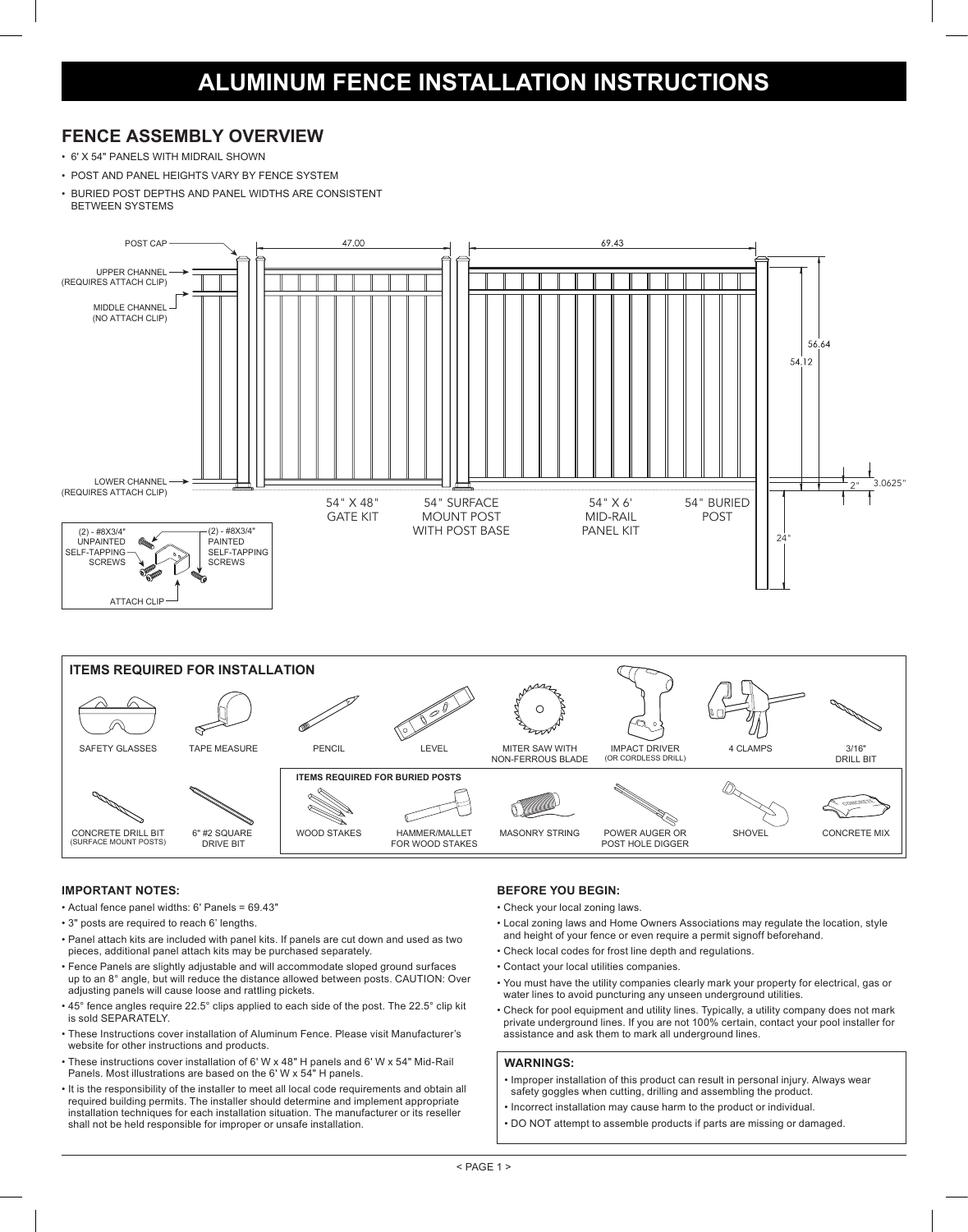### **FENCE ASSEMBLY OVERVIEW**

- 6' X 54" PANELS WITH MIDRAIL SHOWN
- POST AND PANEL HEIGHTS VARY BY FENCE SYSTEM
- BURIED POST DEPTHS AND PANEL WIDTHS ARE CONSISTENT
- BETWEEN SYSTEMS





#### **IMPORTANT NOTES:**

- Actual fence panel widths: 6' Panels = 69.43"
- 3" posts are required to reach 6' lengths.
- Panel attach kits are included with panel kits. If panels are cut down and used as two pieces, additional panel attach kits may be purchased separately.
- Fence Panels are slightly adjustable and will accommodate sloped ground surfaces up to an 8° angle, but will reduce the distance allowed between posts. CAUTION: Over adjusting panels will cause loose and rattling pickets.
- 45° fence angles require 22.5° clips applied to each side of the post. The 22.5° clip kit is sold SEPARATELY.
- These Instructions cover installation of Aluminum Fence. Please visit Manufacturer's website for other instructions and products.
- These instructions cover installation of 6' W x 48" H panels and 6' W x 54" Mid-Rail Panels. Most illustrations are based on the 6' W x 54" H panels.
- It is the responsibility of the installer to meet all local code requirements and obtain all required building permits. The installer should determine and implement appropriate installation techniques for each installation situation. The manufacturer or its reseller shall not be held responsible for improper or unsafe installation.

#### **BEFORE YOU BEGIN:**

- Check your local zoning laws.
- Local zoning laws and Home Owners Associations may regulate the location, style and height of your fence or even require a permit signoff beforehand.
- Check local codes for frost line depth and regulations.
- Contact your local utilities companies.
- You must have the utility companies clearly mark your property for electrical, gas or water lines to avoid puncturing any unseen underground utilities.
- Check for pool equipment and utility lines. Typically, a utility company does not mark private underground lines. If you are not 100% certain, contact your pool installer for assistance and ask them to mark all underground lines.

#### **WARNINGS:**

- Improper installation of this product can result in personal injury. Always wear safety goggles when cutting, drilling and assembling the product.
- Incorrect installation may cause harm to the product or individual.
- DO NOT attempt to assemble products if parts are missing or damaged.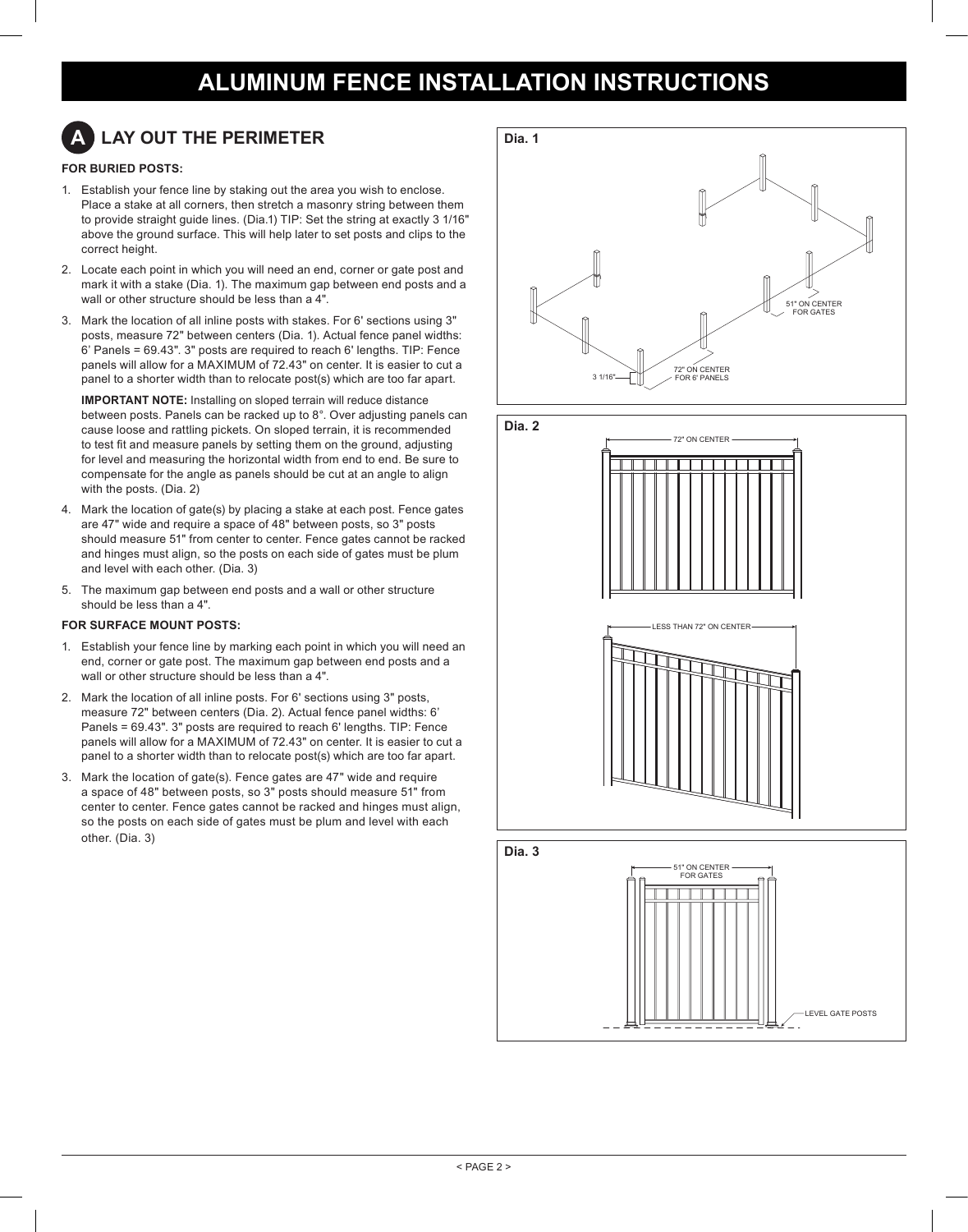# **A LAY OUT THE PERIMETER**

### **FOR BURIED POSTS:**

- 1. Establish your fence line by staking out the area you wish to enclose. Place a stake at all corners, then stretch a masonry string between them to provide straight guide lines. (Dia.1) TIP: Set the string at exactly 3 1/16" above the ground surface. This will help later to set posts and clips to the correct height.
- 2. Locate each point in which you will need an end, corner or gate post and mark it with a stake (Dia. 1). The maximum gap between end posts and a wall or other structure should be less than a 4".
- 3. Mark the location of all inline posts with stakes. For 6' sections using 3" posts, measure 72" between centers (Dia. 1). Actual fence panel widths: 6' Panels = 69.43". 3" posts are required to reach 6' lengths. TIP: Fence panels will allow for a MAXIMUM of 72.43" on center. It is easier to cut a panel to a shorter width than to relocate post(s) which are too far apart.

**IMPORTANT NOTE:** Installing on sloped terrain will reduce distance between posts. Panels can be racked up to 8°. Over adjusting panels can cause loose and rattling pickets. On sloped terrain, it is recommended to test fit and measure panels by setting them on the ground, adjusting for level and measuring the horizontal width from end to end. Be sure to compensate for the angle as panels should be cut at an angle to align with the posts. (Dia. 2)

- 4. Mark the location of gate(s) by placing a stake at each post. Fence gates are 47" wide and require a space of 48" between posts, so 3" posts should measure 51" from center to center. Fence gates cannot be racked and hinges must align, so the posts on each side of gates must be plum and level with each other. (Dia. 3)
- 5. The maximum gap between end posts and a wall or other structure should be less than a 4".

#### **FOR SURFACE MOUNT POSTS:**

- 1. Establish your fence line by marking each point in which you will need an end, corner or gate post. The maximum gap between end posts and a wall or other structure should be less than a 4".
- 2. Mark the location of all inline posts. For 6' sections using 3" posts, measure 72" between centers (Dia. 2). Actual fence panel widths: 6' Panels = 69.43". 3" posts are required to reach 6' lengths. TIP: Fence panels will allow for a MAXIMUM of 72.43" on center. It is easier to cut a panel to a shorter width than to relocate post(s) which are too far apart.
- 3. Mark the location of gate(s). Fence gates are 47" wide and require a space of 48" between posts, so 3" posts should measure 51" from center to center. Fence gates cannot be racked and hinges must align, so the posts on each side of gates must be plum and level with each other. (Dia. 3)





LEVEL GATE POSTS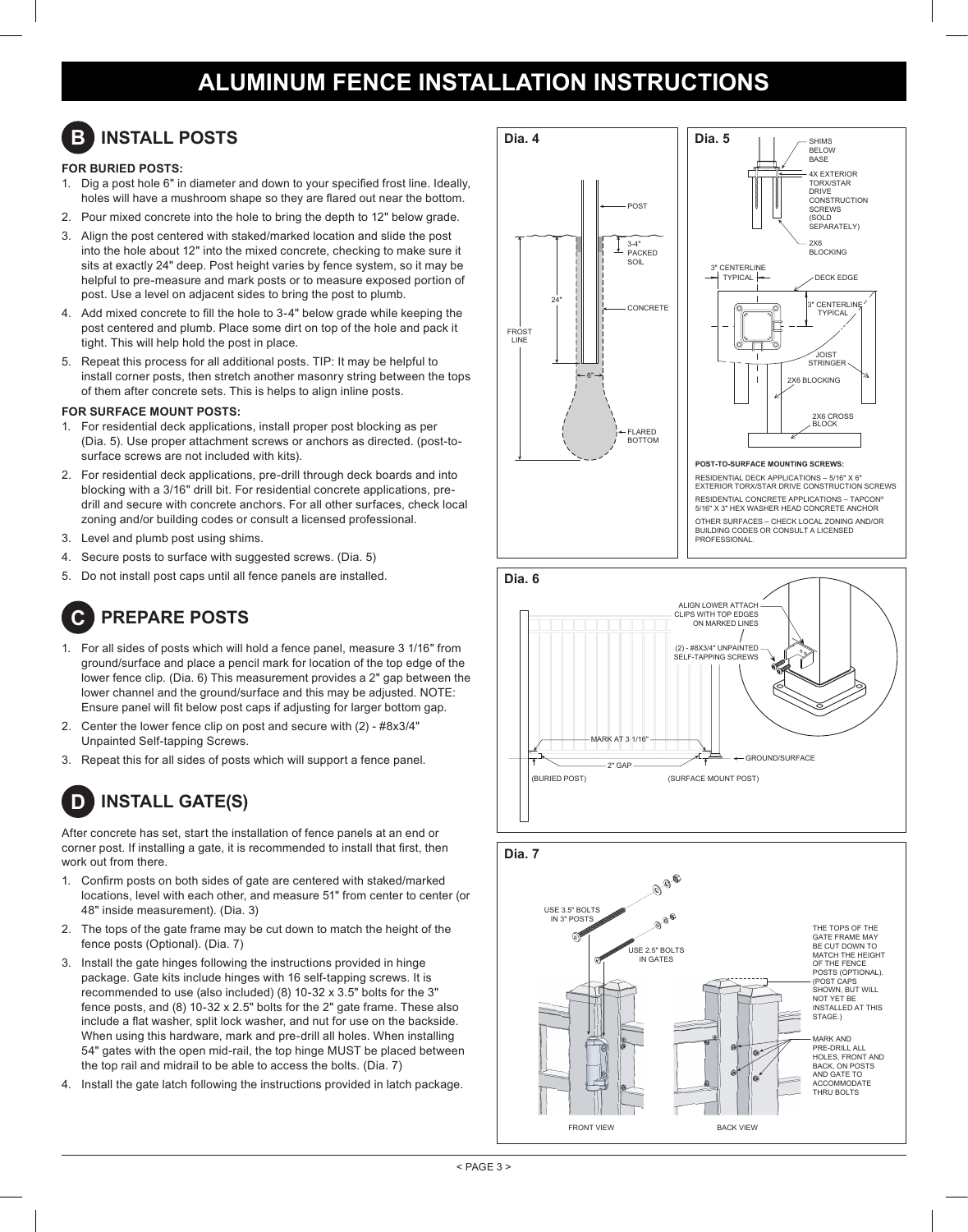# **B INSTALL POSTS**

### **FOR BURIED POSTS:**

- 1. Dig a post hole 6" in diameter and down to your specified frost line. Ideally, holes will have a mushroom shape so they are flared out near the bottom.
- 2. Pour mixed concrete into the hole to bring the depth to 12" below grade.
- 3. Align the post centered with staked/marked location and slide the post into the hole about 12" into the mixed concrete, checking to make sure it sits at exactly 24" deep. Post height varies by fence system, so it may be helpful to pre-measure and mark posts or to measure exposed portion of post. Use a level on adjacent sides to bring the post to plumb.
- 4. Add mixed concrete to fill the hole to 3-4" below grade while keeping the post centered and plumb. Place some dirt on top of the hole and pack it tight. This will help hold the post in place.
- 5. Repeat this process for all additional posts. TIP: It may be helpful to install corner posts, then stretch another masonry string between the tops of them after concrete sets. This is helps to align inline posts.

#### **FOR SURFACE MOUNT POSTS:**

- 1. For residential deck applications, install proper post blocking as per (Dia. 5). Use proper attachment screws or anchors as directed. (post-tosurface screws are not included with kits).
- 2. For residential deck applications, pre-drill through deck boards and into blocking with a 3/16" drill bit. For residential concrete applications, predrill and secure with concrete anchors. For all other surfaces, check local zoning and/or building codes or consult a licensed professional.
- 3. Level and plumb post using shims.
- 4. Secure posts to surface with suggested screws. (Dia. 5)
- 5. Do not install post caps until all fence panels are installed.

### **C PREPARE POSTS**

- 1. For all sides of posts which will hold a fence panel, measure 3 1/16" from ground/surface and place a pencil mark for location of the top edge of the lower fence clip. (Dia. 6) This measurement provides a 2" gap between the lower channel and the ground/surface and this may be adjusted. NOTE: Ensure panel will fit below post caps if adjusting for larger bottom gap.
- 2. Center the lower fence clip on post and secure with (2) #8x3/4" Unpainted Self-tapping Screws.
- 3. Repeat this for all sides of posts which will support a fence panel.

## **D INSTALL GATE(S)**

After concrete has set, start the installation of fence panels at an end or corner post. If installing a gate, it is recommended to install that first, then work out from there.

- 1. Confirm posts on both sides of gate are centered with staked/marked locations, level with each other, and measure 51" from center to center (or 48" inside measurement). (Dia. 3)
- 2. The tops of the gate frame may be cut down to match the height of the fence posts (Optional). (Dia. 7)
- 3. Install the gate hinges following the instructions provided in hinge package. Gate kits include hinges with 16 self-tapping screws. It is recommended to use (also included) (8) 10-32 x 3.5" bolts for the 3" fence posts, and (8) 10-32 x 2.5" bolts for the 2" gate frame. These also include a flat washer, split lock washer, and nut for use on the backside. When using this hardware, mark and pre-drill all holes. When installing 54" gates with the open mid-rail, the top hinge MUST be placed between the top rail and midrail to be able to access the bolts. (Dia. 7)
- 4. Install the gate latch following the instructions provided in latch package.





RESIDENTIAL CONCRETE APPLICATIONS – TAPCON® 5/16" X 3" HEX WASHER HEAD CONCRETE ANCHOR OTHER SURFACES – CHECK LOCAL ZONING AND/OR BUILDING CODES OR CONSULT A LICENSED PROFESSIONAL.